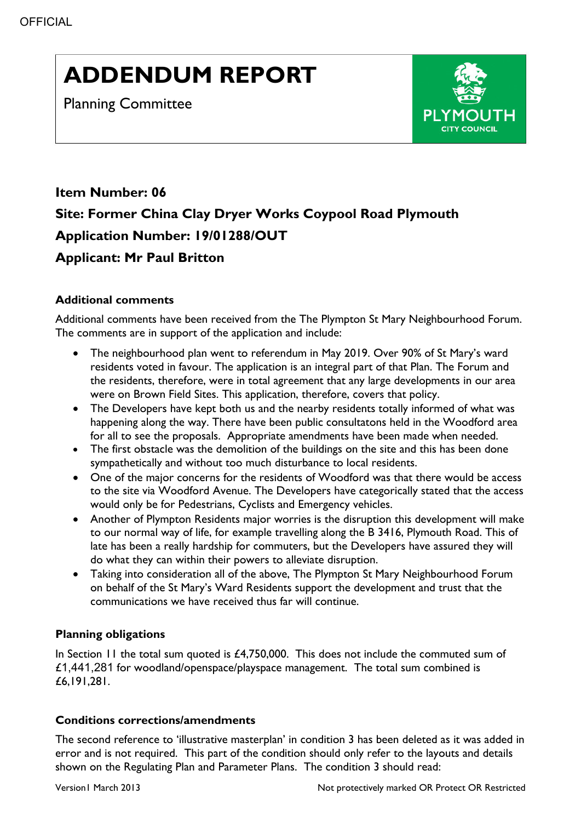# **ADDENDUM REPORT**

Planning Committee



# **Item Number: 06 Site: Former China Clay Dryer Works Coypool Road Plymouth Application Number: 19/01288/OUT Applicant: Mr Paul Britton**

## **Additional comments**

Additional comments have been received from the The Plympton St Mary Neighbourhood Forum. The comments are in support of the application and include:

- The neighbourhood plan went to referendum in May 2019. Over 90% of St Mary's ward residents voted in favour. The application is an integral part of that Plan. The Forum and the residents, therefore, were in total agreement that any large developments in our area were on Brown Field Sites. This application, therefore, covers that policy.
- The Developers have kept both us and the nearby residents totally informed of what was happening along the way. There have been public consultatons held in the Woodford area for all to see the proposals. Appropriate amendments have been made when needed.
- The first obstacle was the demolition of the buildings on the site and this has been done sympathetically and without too much disturbance to local residents.
- One of the major concerns for the residents of Woodford was that there would be access to the site via Woodford Avenue. The Developers have categorically stated that the access would only be for Pedestrians, Cyclists and Emergency vehicles.
- Another of Plympton Residents major worries is the disruption this development will make to our normal way of life, for example travelling along the B 3416, Plymouth Road. This of late has been a really hardship for commuters, but the Developers have assured they will do what they can within their powers to alleviate disruption.
- Taking into consideration all of the above, The Plympton St Mary Neighbourhood Forum on behalf of the St Mary's Ward Residents support the development and trust that the communications we have received thus far will continue.

### **Planning obligations**

In Section 11 the total sum quoted is £4,750,000. This does not include the commuted sum of £1,441,281 for woodland/openspace/playspace management. The total sum combined is £6,191,281.

#### **Conditions corrections/amendments**

The second reference to 'illustrative masterplan' in condition 3 has been deleted as it was added in error and is not required. This part of the condition should only refer to the layouts and details shown on the Regulating Plan and Parameter Plans. The condition 3 should read: